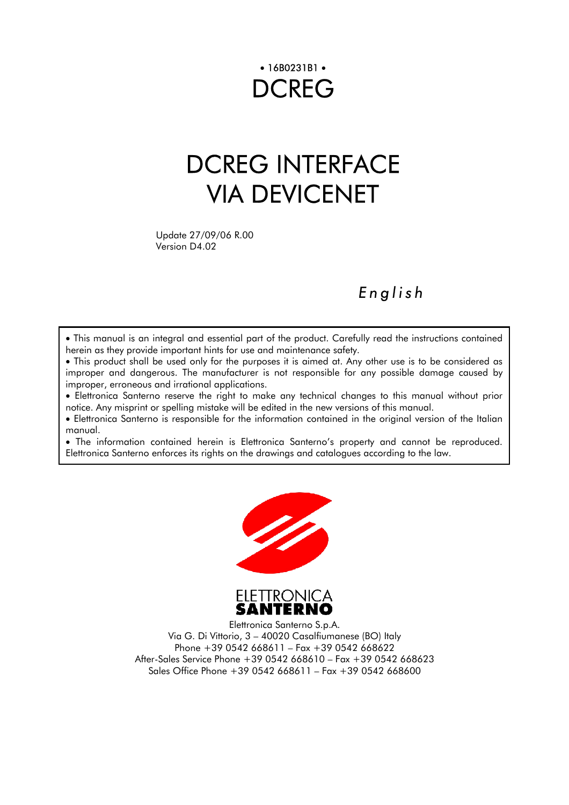# • 16B0231B1 • **DCREG**

# DCREG INTERFACE VIA DEVICENET

Version D4.02

## *English*

• This manual is an integral and essential part of the product. Carefully read the instructions contained herein as they provide important hints for use and maintenance safety.

• This product shall be used only for the purposes it is aimed at. Any other use is to be considered as improper and dangerous. The manufacturer is not responsible for any possible damage caused by improper, erroneous and irrational applications.

• Elettronica Santerno reserve the right to make any technical changes to this manual without prior notice. Any misprint or spelling mistake will be edited in the new versions of this manual.

• Elettronica Santerno is responsible for the information contained in the original version of the Italian manual.

• The information contained herein is Elettronica Santerno's property and cannot be reproduced. Elettronica Santerno enforces its rights on the drawings and catalogues according to the law.





Elettronica Santerno S.p.A. Via G. Di Vittorio, 3 – 40020 Casalfiumanese (BO) Italy Phone +39 0542 668611 – Fax +39 0542 668622 After-Sales Service Phone +39 0542 668610 – Fax +39 0542 668623 Sales Office Phone +39 0542 668611 – Fax +39 0542 668600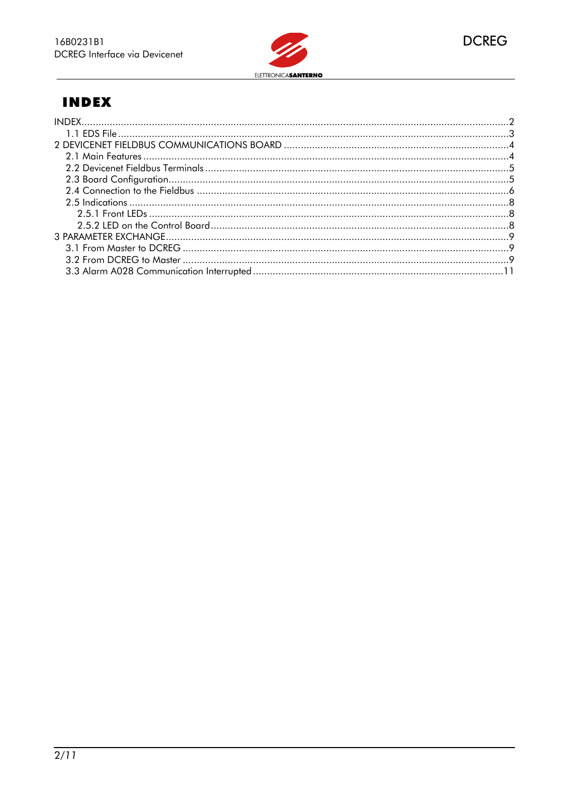

## **INDEX**

<span id="page-1-0"></span>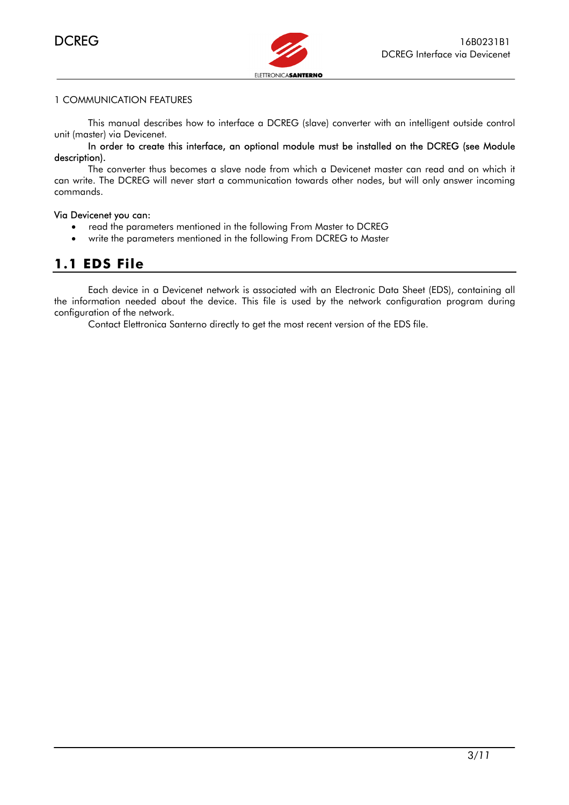

#### 1 COMMUNICATION FEATURES

 $\ddot{\phantom{0}}$ 

This manual describes how to interface a DCREG (slave) converter with an intelligent outside control unit (master) via Devicenet.

#### In order to create this interface, an optional module must be installed on the DCREG (see Module description).

The converter thus becomes a slave node from which a Devicenet master can read and on which it can write. The DCREG will never start a communication towards other nodes, but will only answer incoming commands.

#### Via Devicenet you can:

- read the parameters mentioned in the following From Master to DCREG
- write the parameters mentioned in the following From DCREG to Master

## **1.1 EDS File**

<span id="page-2-0"></span>Each device in a Devicenet network is associate[d with an Electronic Dat](#page-8-0)a Sheet (EDS), containing all the information needed about the device. This file is used by the network configuration program during configuration of the network.

Contact Elettronica Santerno directly to get the most recent version of the EDS file.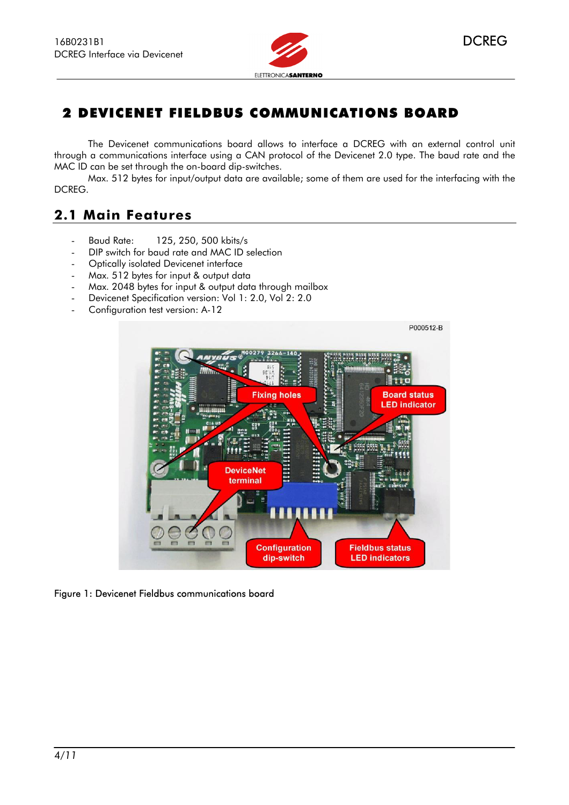

## <span id="page-3-0"></span>2 DEVICENET FIELDBUS COMMUNICATIONS BOARD

The Devicenet communications board allows to interface a DCREG with an external control unit through a communications interface using a CAN protocol of the Devicenet 2.0 type. The baud rate and the MAC ID can be set through the on-board dip-switches.

Max. 512 bytes for input/output data are available; some of them are used for the interfacing with the DCREG.

## <span id="page-3-1"></span>**2.1 Main Features**

- Baud Rate: 125, 250, 500 kbits/s
- DIP switch for baud rate and MAC ID selection
- Optically isolated Devicenet interface
- Max. 512 bytes for input & output data
- Max. 2048 bytes for input & output data through mailbox
- Devicenet Specification version: Vol 1: 2.0, Vol 2: 2.0
- Configuration test version: A-12



Figure 1: Devicenet Fieldbus communications board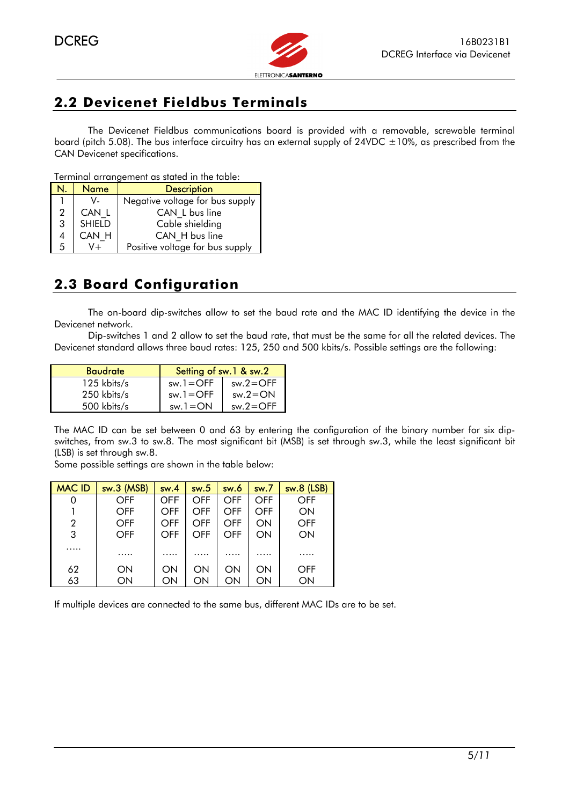

## <span id="page-4-0"></span>**2.2 Devicenet Fieldbus Terminals**

The Devicenet Fieldbus communications board is provided with a removable, screwable terminal board (pitch 5.08). The bus interface circuitry has an external supply of 24VDC  $\pm 10\%$ , as prescribed from the CAN Devicenet specifications.

Terminal arrangement as stated in the table:

|   | <b>Name</b>   | <b>Description</b>              |
|---|---------------|---------------------------------|
|   | V.            | Negative voltage for bus supply |
| 2 | CAN L         | CAN L bus line                  |
| 3 | <b>SHIELD</b> | Cable shielding                 |
| 4 | CAN H         | CAN H bus line                  |
| 5 |               | Positive voltage for bus supply |

## <span id="page-4-1"></span>**2.3 Board Configuration**

The on-board dip-switches allow to set the baud rate and the MAC ID identifying the device in the Devicenet network.

Dip-switches 1 and 2 allow to set the baud rate, that must be the same for all the related devices. The Devicenet standard allows three baud rates: 125, 250 and 500 kbits/s. Possible settings are the following:

| <b>Baudrate</b> | Setting of sw.1 & sw.2 |              |  |
|-----------------|------------------------|--------------|--|
| $125$ kbits/s   | $sw.1 = OFF$           | $sw.2 = OFF$ |  |
| 250 kbits/s     | $sw.1 = OFF$           | $sw.2 = ON$  |  |
| 500 kbits/s     | $sw.1 = ON$            | $sw.2 = OFF$ |  |

The MAC ID can be set between 0 and 63 by entering the configuration of the binary number for six dipswitches, from sw.3 to sw.8. The most significant bit (MSB) is set through sw.3, while the least significant bit (LSB) is set through sw.8.

Some possible settings are shown in the table below:

| <b>MAC ID</b> | sw.3 (MSB) | sw.4       | sw.5 | sw.6 | sw.7 | sw.8 (LSB) |
|---------------|------------|------------|------|------|------|------------|
| 0             | OFF        | <b>OFF</b> | OFF  | OFF  | OFF  | OFF        |
|               | <b>OFF</b> | OFF        | OFF  | OFF  | OFF  | ON         |
| 2             | <b>OFF</b> | OFF        | OFF  | OFF  | ON   | <b>OFF</b> |
| 3             | <b>OFF</b> | OFF        | OFF  | OFF  | ON   | ON         |
| .             | .          | .          | .    | .    | .    | .          |
| 62            | ON         | ON         | ON   | ON   | ON   | <b>OFF</b> |
| 63            | ON         | ON         | ON   | ON   | ON   | ON         |

If multiple devices are connected to the same bus, different MAC IDs are to be set.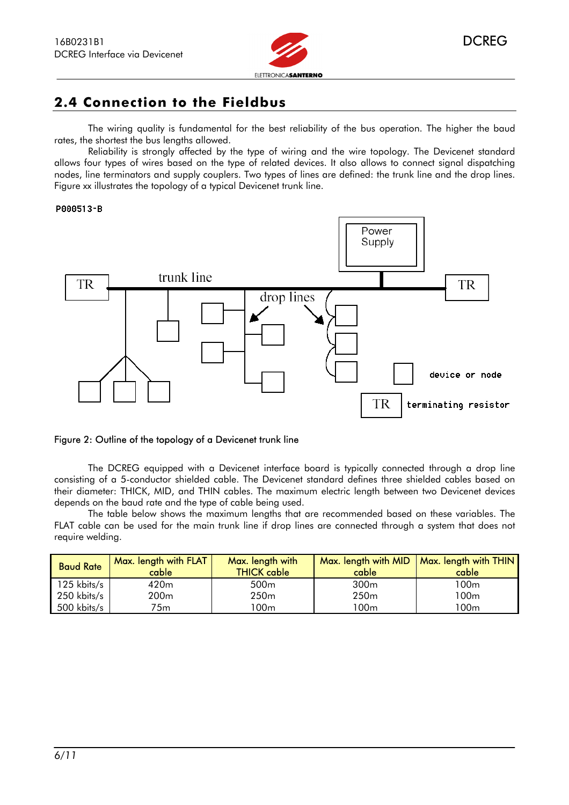

## <span id="page-5-0"></span>**2.4 Connection to the Fieldbus**

The wiring quality is fundamental for the best reliability of the bus operation. The higher the baud rates, the shortest the bus lengths allowed.

Reliability is strongly affected by the type of wiring and the wire topology. The Devicenet standard allows four types of wires based on the type of related devices. It also allows to connect signal dispatching nodes, line terminators and supply couplers. Two types of lines are defined: the trunk line and the drop lines. Figure xx illustrates the topology of a typical Devicenet trunk line.

#### P000513-B

 $\overline{\phantom{a}}$ 



#### Figure 2: Outline of the topology of a Devicenet trunk line

The DCREG equipped with a Devicenet interface board is typically connected through a drop line consisting of a 5-conductor shielded cable. The Devicenet standard defines three shielded cables based on their diameter: THICK, MID, and THIN cables. The maximum electric length between two Devicenet devices depends on the baud rate and the type of cable being used.

The table below shows the maximum lengths that are recommended based on these variables. The FLAT cable can be used for the main trunk line if drop lines are connected through a system that does not require welding.

| <b>Baud Rate</b> | Max. length with FLAT<br>cable | Max. length with<br><b>THICK cable</b> | Max. length with MID<br>cable | Max. length with THIN  <br>cable |
|------------------|--------------------------------|----------------------------------------|-------------------------------|----------------------------------|
| 125 kbits/s      | 420 <sub>m</sub>               | 500 <sub>m</sub>                       | 300 <sub>m</sub>              | 100 <sub>m</sub>                 |
| 250 kbits/s      | 200 <sub>m</sub>               | 250 <sub>m</sub>                       | 250 <sub>m</sub>              | 100m                             |
| 500 kbits/s      | 75m                            | י 00m                                  | '00m                          | 100m                             |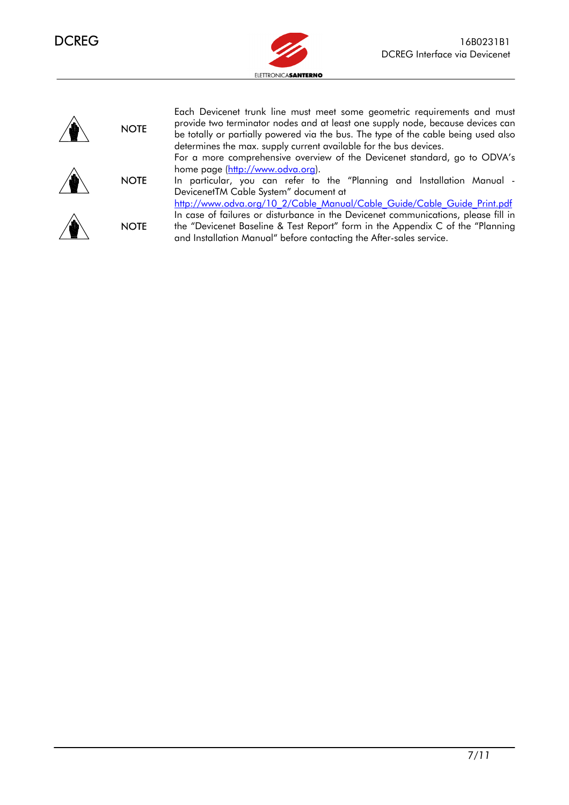



 $\ddot{\phantom{0}}$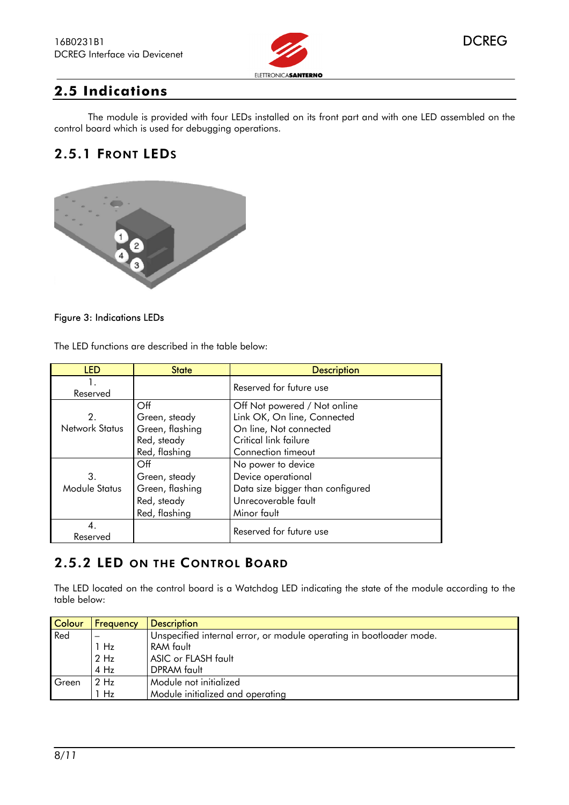



#### <span id="page-7-0"></span> $\overline{\phantom{a}}$ **2.5 Indications**

The module is provided with four LEDs installed on its front part and with one LED assembled on the control board which is used for debugging operations.

## <span id="page-7-1"></span>2.5.1 FRONT LEDS



#### Figure 3: Indications LEDs

The LED functions are described in the table below:

| <b>LED</b>     | <b>State</b>    | <b>Description</b>               |
|----------------|-----------------|----------------------------------|
| 1.<br>Reserved |                 | Reserved for future use          |
|                | Off             | Off Not powered / Not online     |
| 2.             | Green, steady   | Link OK, On line, Connected      |
| Network Status | Green, flashing | On line, Not connected           |
|                | Red, steady     | Critical link failure            |
|                | Red, flashing   | Connection timeout               |
|                | Off             | No power to device               |
| 3.             | Green, steady   | Device operational               |
| Module Status  | Green, flashing | Data size bigger than configured |
|                | Red, steady     | Unrecoverable fault              |
|                | Red, flashing   | Minor fault                      |
| Reserved       |                 | Reserved for future use          |

## <span id="page-7-2"></span>2.5.2 LED ON THE CONTROL BOARD

The LED located on the control board is a Watchdog LED indicating the state of the module according to the table below:

| Colour | Frequency | <b>Description</b>                                                  |
|--------|-----------|---------------------------------------------------------------------|
| Red    |           | Unspecified internal error, or module operating in bootloader mode. |
|        | 1 Hz      | RAM fault                                                           |
|        | $2$ Hz    | ASIC or FLASH fault                                                 |
|        | $4$ Hz    | <b>DPRAM</b> fault                                                  |
| Green  | $2$ Hz    | Module not initialized                                              |
|        | 1 Hz      | Module initialized and operating                                    |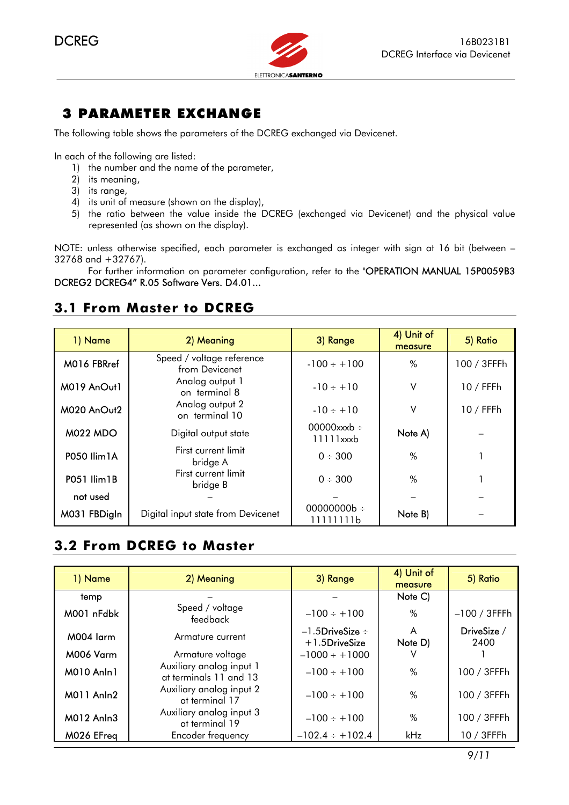

## 3 PARAMETER EXCHANGE

The following table shows the parameters of the DCREG exchanged via Devicenet.

In each of the following are listed:

- 1) the number and the name of the parameter,
- 2) its meaning,
- 3) its range,
- 4) its unit of measure (shown on the display),
- 5) the ratio between the value inside the DCREG (exchanged via Devicenet) and the physical value represented (as shown on the display).

NOTE: unless otherwise specified, each parameter is exchanged as integer with sign at 16 bit (between – 32768 and +32767).

For further information on parameter configuration, refer to the "OPERATION MANUAL 15P0059B3 DCREG2 DCREG4" R.05 Software Vers. D4.01...

## **3.1 From Master to DCREG**

| 1) Name            | 2) Meaning                                  | 3) Range                      | 4) Unit of<br>measure | 5) Ratio    |
|--------------------|---------------------------------------------|-------------------------------|-----------------------|-------------|
| M016 FBRref        | Speed / voltage reference<br>from Devicenet | $-100 \div +100$              | %                     | 100 / 3FFFh |
| M019 AnOut1        | Analog output 1<br>on terminal 8            | $-10 \div +10$                | V                     | 10 / FFFh   |
| M020 AnOut2        | Analog output 2<br>on terminal 10           | $-10 \div +10$                | V                     | $10/$ FFFh  |
| <b>M022 MDO</b>    | Digital output state                        | 00000xxxb $\div$<br>11111xxxb | Note A)               |             |
| P050 Ilim1A        | First current limit<br>bridge A             | $0 \div 300$                  | %                     |             |
| <b>P051 Ilim1B</b> | First current limit<br>bridge B             | $0 \div 300$                  | %                     |             |
| not used           |                                             |                               |                       |             |
| M031 FBDigIn       | Digital input state from Devicenet          | 00000000b ÷<br>11111111b      | Note B)               |             |

## <span id="page-8-0"></span>**3.2 From DCREG to Master**

| 1) Name    | 2) Meaning                                         | 3) Range                                    | 4) Unit of<br>measure | 5) Ratio            |
|------------|----------------------------------------------------|---------------------------------------------|-----------------------|---------------------|
| temp       |                                                    |                                             | Note C)               |                     |
| M001 nFdbk | Speed / voltage<br>feedback                        | $-100 \div +100$                            | $\%$                  | $-100/3$ FFFh       |
| M004 larm  | Armature current                                   | $-1.5$ DriveSize $\div$<br>$+1.5$ DriveSize | A<br>Note D)          | DriveSize /<br>2400 |
| M006 Varm  | Armature voltage                                   | $-1000 \div + 1000$                         |                       |                     |
| M010 Anln1 | Auxiliary analog input 1<br>at terminals 11 and 13 | $-100 \div +100$                            | %                     | 100 / 3FFFh         |
| M011 Anln2 | Auxiliary analog input 2<br>at terminal 17         | $-100 \div +100$                            | $\%$                  | 100 / 3FFFh         |
| M012 Anln3 | Auxiliary analog input 3<br>at terminal 19         | $-100 \div +100$                            | %                     | 100 / 3FFFh         |
| M026 EFreq | Encoder frequency                                  | $-102.4 \div +102.4$                        | kHz                   | 10 / 3FFFh          |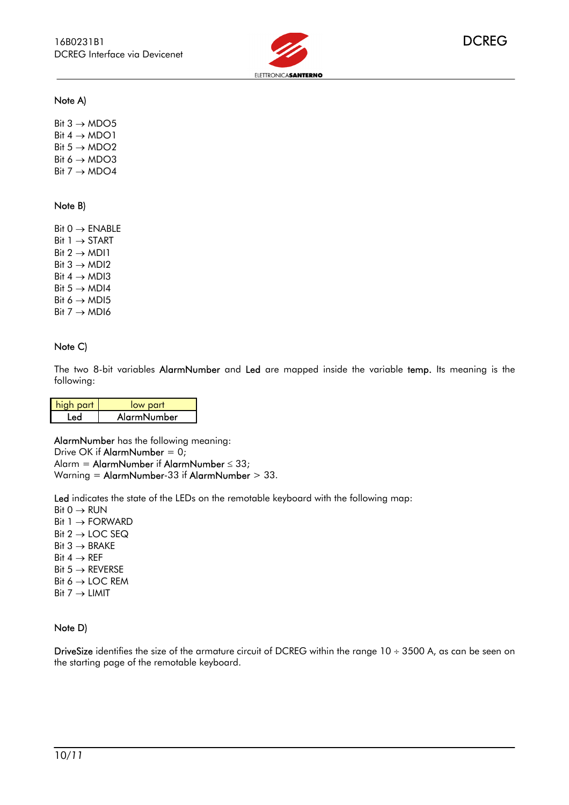

#### Note A)

 $\overline{\phantom{a}}$ 

Bit  $3 \rightarrow MDO5$ Bit  $4 \rightarrow \text{MDO}1$ Bit  $5 \rightarrow MDO2$ Bit  $6 \rightarrow MDO3$ Bit  $7 \rightarrow \text{MDO4}$ 

#### Note B)

Bit  $0 \rightarrow$  ENABLE Bit  $1 \rightarrow$  START Bit  $2 \rightarrow MDI1$ Bit  $3 \rightarrow MDI2$ Bit  $4 \rightarrow MDI3$ Bit  $5 \rightarrow MDI4$ Bit  $6 \rightarrow MDI5$ Bit  $7 \rightarrow MDI6$ 

#### Note C)

The two 8-bit variables AlarmNumber and Led are mapped inside the variable temp. Its meaning is the following:

| high part | low part    |
|-----------|-------------|
|           | AlarmNumber |

AlarmNumber has the following meaning: Drive OK if AlarmNumber = 0; Alarm = AlarmNumber if AlarmNumber ≤ 33; Warning = AlarmNumber-33 if AlarmNumber > 33.

Led indicates the state of the LEDs on the remotable keyboard with the following map:

 $Bit 0 \rightarrow RUN$ Bit 1 → FORWARD Bit  $2 \rightarrow$  LOC SEQ Bit  $3 \rightarrow BRAKE$ Bit  $4 \rightarrow$  REF Bit  $5 \rightarrow$  REVERSE Bit  $6 \rightarrow$  LOC REM  $Bit 7 \rightarrow LIMIT$ 

#### Note D)

DriveSize identifies the size of the armature circuit of DCREG within the range 10 ÷ 3500 A, as can be seen on the starting page of the remotable keyboard.